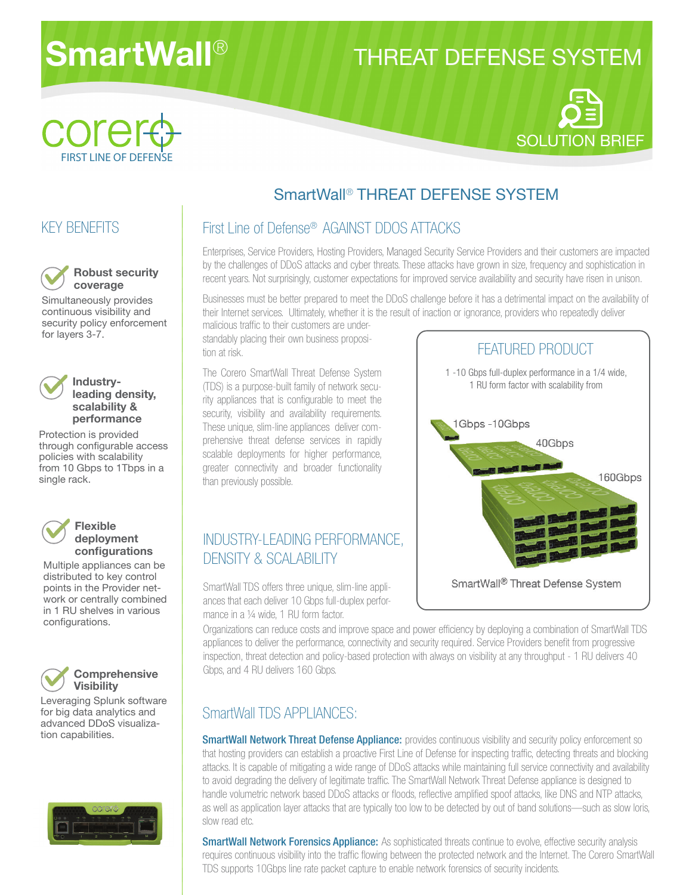# **SmartWall**®

## THREAT DEFENSE SYSTEM





### SmartWall® THREAT DEFENSE SYSTEM

#### KEY BENEFITS



Simultaneously provides continuous visibility and security policy enforcement for layers 3-7.



#### **Industryleading density, scalability & performance**

Protection is provided through configurable access policies with scalability from 10 Gbps to 1Tbps in a single rack.



#### **Flexible deployment confi gurations**

Multiple appliances can be distributed to key control points in the Provider network or centrally combined in 1 RU shelves in various configurations.



#### **Comprehensive Visibility**

Leveraging Splunk software for big data analytics and advanced DDoS visualization capabilities.



#### First Line of Defense® AGAINST DDOS ATTACKS

Enterprises, Service Providers, Hosting Providers, Managed Security Service Providers and their customers are impacted by the challenges of DDoS attacks and cyber threats. These attacks have grown in size, frequency and sophistication in recent years. Not surprisingly, customer expectations for improved service availability and security have risen in unison.

Businesses must be better prepared to meet the DDoS challenge before it has a detrimental impact on the availability of their Internet services. Ultimately, whether it is the result of inaction or ignorance, providers who repeatedly deliver

malicious traffic to their customers are understandably placing their own business proposition at risk.

The Corero SmartWall Threat Defense System (TDS) is a purpose-built family of network security appliances that is configurable to meet the security, visibility and availability requirements. These unique, slim-line appliances deliver comprehensive threat defense services in rapidly scalable deployments for higher performance, greater connectivity and broader functionality than previously possible.

#### INDUSTRY-LEADING PERFORMANCE, DENSITY & SCALABILITY

SmartWall TDS offers three unique, slim-line appliances that each deliver 10 Gbps full-duplex performance in a ¼ wide, 1 RU form factor.

FEATURED PRODUCT 1 -10 Gbps full-duplex performance in a 1/4 wide, 1 RU form factor with scalability from 1Gbps-10Gbps 40Gbps 160Gbps SmartWall® Threat Defense System

Organizations can reduce costs and improve space and power efficiency by deploying a combination of SmartWall TDS appliances to deliver the performance, connectivity and security required. Service Providers benefit from progressive inspection, threat detection and policy-based protection with always on visibility at any throughput - 1 RU delivers 40 Gbps, and 4 RU delivers 160 Gbps.

#### SmartWall TDS APPLIANCES:

SmartWall Network Threat Defense Appliance: provides continuous visibility and security policy enforcement so that hosting providers can establish a proactive First Line of Defense for inspecting traffic, detecting threats and blocking attacks. It is capable of mitigating a wide range of DDoS attacks while maintaining full service connectivity and availability to avoid degrading the delivery of legitimate traffic. The SmartWall Network Threat Defense appliance is designed to handle volumetric network based DDoS attacks or floods, reflective amplified spoof attacks, like DNS and NTP attacks, as well as application layer attacks that are typically too low to be detected by out of band solutions—such as slow loris, slow read etc.

**SmartWall Network Forensics Appliance:** As sophisticated threats continue to evolve, effective security analysis requires continuous visibility into the traffic flowing between the protected network and the Internet. The Corero SmartWall TDS supports 10Gbps line rate packet capture to enable network forensics of security incidents.